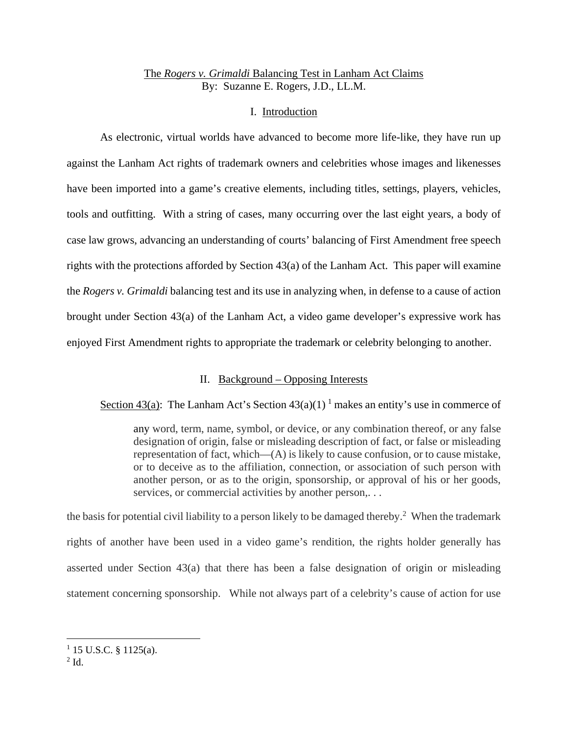# The *Rogers v. Grimaldi* Balancing Test in Lanham Act Claims By: Suzanne E. Rogers, J.D., LL.M.

## I. Introduction

As electronic, virtual worlds have advanced to become more life-like, they have run up against the Lanham Act rights of trademark owners and celebrities whose images and likenesses have been imported into a game's creative elements, including titles, settings, players, vehicles, tools and outfitting. With a string of cases, many occurring over the last eight years, a body of case law grows, advancing an understanding of courts' balancing of First Amendment free speech rights with the protections afforded by Section 43(a) of the Lanham Act. This paper will examine the *Rogers v. Grimaldi* balancing test and its use in analyzing when, in defense to a cause of action brought under Section 43(a) of the Lanham Act, a video game developer's expressive work has enjoyed First Amendment rights to appropriate the trademark or celebrity belonging to another.

## II. Background – Opposing Interests

Section 43(a): The Lanham Act's Section  $43(a)(1)^1$  makes an entity's use in commerce of

any word, term, name, symbol, or device, or any combination thereof, or any false designation of origin, false or misleading description of fact, or false or misleading representation of fact, which—(A) is likely to cause confusion, or to cause mistake, or to deceive as to the affiliation, connection, or association of such person with another person, or as to the origin, sponsorship, or approval of his or her goods, services, or commercial activities by another person,...

the basis for potential civil liability to a person likely to be damaged thereby.<sup>2</sup> When the trademark rights of another have been used in a video game's rendition, the rights holder generally has asserted under Section 43(a) that there has been a false designation of origin or misleading statement concerning sponsorship. While not always part of a celebrity's cause of action for use

 $2$  Id.

 $1$  15 U.S.C. § 1125(a).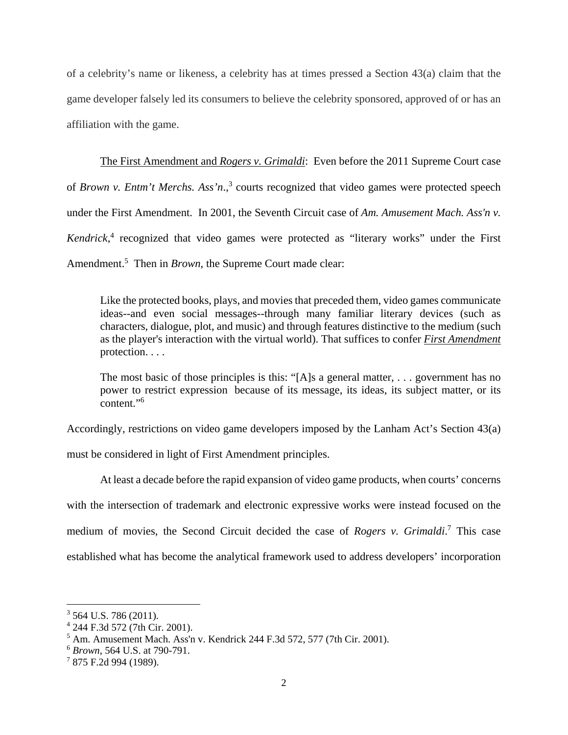of a celebrity's name or likeness, a celebrity has at times pressed a Section 43(a) claim that the game developer falsely led its consumers to believe the celebrity sponsored, approved of or has an affiliation with the game.

The First Amendment and *Rogers v. Grimaldi*: Even before the 2011 Supreme Court case of *Brown v. Entm't Merchs. Ass'n.*,<sup>3</sup> courts recognized that video games were protected speech under the First Amendment. In 2001, the Seventh Circuit case of *Am. Amusement Mach. Ass'n v.*  Kendrick,<sup>4</sup> recognized that video games were protected as "literary works" under the First Amendment.<sup>5</sup> Then in *Brown*, the Supreme Court made clear:

 Like the protected books, plays, and movies that preceded them, video games communicate ideas--and even social messages--through many familiar literary devices (such as characters, dialogue, plot, and music) and through features distinctive to the medium (such as the player's interaction with the virtual world). That suffices to confer *First Amendment* protection. . . .

 The most basic of those principles is this: "[A]s a general matter, . . . government has no power to restrict expression because of its message, its ideas, its subject matter, or its  $\frac{1}{2}$ content."<sup>6</sup>

Accordingly, restrictions on video game developers imposed by the Lanham Act's Section 43(a)

must be considered in light of First Amendment principles.

At least a decade before the rapid expansion of video game products, when courts' concerns with the intersection of trademark and electronic expressive works were instead focused on the medium of movies, the Second Circuit decided the case of *Rogers v. Grimaldi*. 7 This case established what has become the analytical framework used to address developers' incorporation

 $3$  564 U.S. 786 (2011).

<sup>4</sup> 244 F.3d 572 (7th Cir. 2001).

 $<sup>5</sup>$  Am. Amusement Mach. Ass'n v. Kendrick 244 F.3d 572, 577 (7th Cir. 2001).</sup>

<sup>6</sup> *Brown*, 564 U.S. at 790-791.

<sup>&</sup>lt;sup>7</sup> 875 F.2d 994 (1989).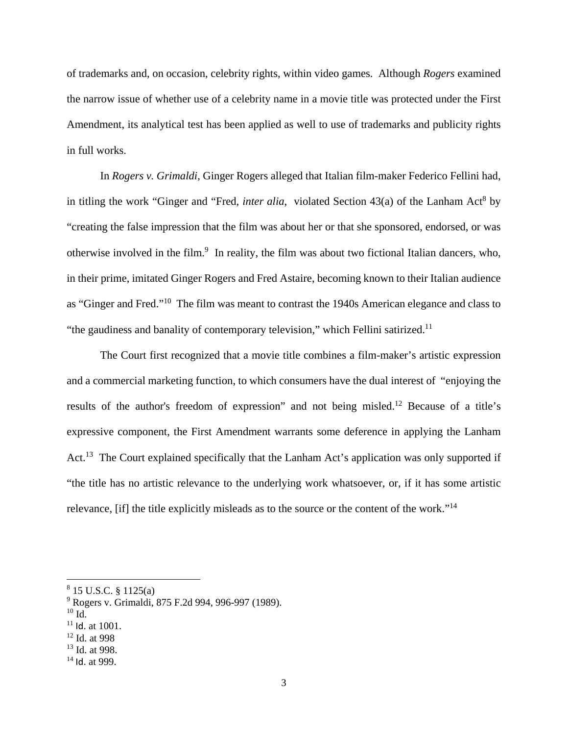of trademarks and, on occasion, celebrity rights, within video games. Although *Rogers* examined the narrow issue of whether use of a celebrity name in a movie title was protected under the First Amendment, its analytical test has been applied as well to use of trademarks and publicity rights in full works.

In *Rogers v. Grimaldi*, Ginger Rogers alleged that Italian film-maker Federico Fellini had, in titling the work "Ginger and "Fred, *inter alia*, violated Section 43(a) of the Lanham Act<sup>8</sup> by "creating the false impression that the film was about her or that she sponsored, endorsed, or was otherwise involved in the film.<sup>9</sup> In reality, the film was about two fictional Italian dancers, who, in their prime, imitated Ginger Rogers and Fred Astaire, becoming known to their Italian audience as "Ginger and Fred."10 The film was meant to contrast the 1940s American elegance and class to "the gaudiness and banality of contemporary television," which Fellini satirized.<sup>11</sup>

The Court first recognized that a movie title combines a film-maker's artistic expression and a commercial marketing function, to which consumers have the dual interest of "enjoying the results of the author's freedom of expression" and not being misled.12 Because of a title's expressive component, the First Amendment warrants some deference in applying the Lanham Act.<sup>13</sup> The Court explained specifically that the Lanham Act's application was only supported if "the title has no artistic relevance to the underlying work whatsoever, or, if it has some artistic relevance, [if] the title explicitly misleads as to the source or the content of the work."14

 $^{10}$  Id.  $\,$ 

1

- 12 Id. at 998
- <sup>13</sup> Id. at 998.

<sup>8</sup> 15 U.S.C. § 1125(a)

<sup>&</sup>lt;sup>9</sup> Rogers v. Grimaldi, 875 F.2d 994, 996-997 (1989).

 $11$  Id. at 1001.

 $14$  Id. at 999.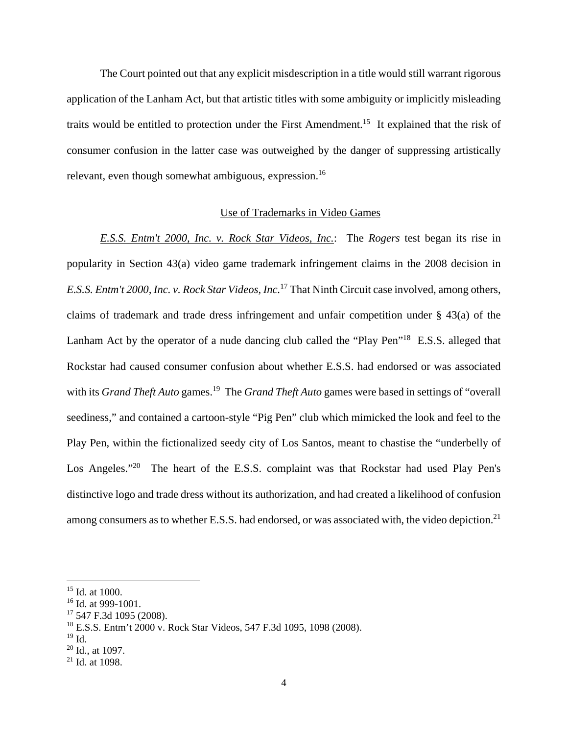The Court pointed out that any explicit misdescription in a title would still warrant rigorous application of the Lanham Act, but that artistic titles with some ambiguity or implicitly misleading traits would be entitled to protection under the First Amendment.<sup>15</sup> It explained that the risk of consumer confusion in the latter case was outweighed by the danger of suppressing artistically relevant, even though somewhat ambiguous, expression.<sup>16</sup>

### Use of Trademarks in Video Games

*E.S.S. Entm't 2000, Inc. v. Rock Star Videos, Inc.*:The *Rogers* test began its rise in popularity in Section 43(a) video game trademark infringement claims in the 2008 decision in *E.S.S. Entm't 2000, Inc. v. Rock Star Videos, Inc.*17 That Ninth Circuit case involved, among others, claims of trademark and trade dress infringement and unfair competition under § 43(a) of the Lanham Act by the operator of a nude dancing club called the "Play Pen"<sup>18</sup> E.S.S. alleged that Rockstar had caused consumer confusion about whether E.S.S. had endorsed or was associated with its *Grand Theft Auto* games.<sup>19</sup> The *Grand Theft Auto* games were based in settings of "overall" seediness," and contained a cartoon-style "Pig Pen" club which mimicked the look and feel to the Play Pen, within the fictionalized seedy city of Los Santos, meant to chastise the "underbelly of Los Angeles."<sup>20</sup> The heart of the E.S.S. complaint was that Rockstar had used Play Pen's distinctive logo and trade dress without its authorization, and had created a likelihood of confusion among consumers as to whether E.S.S. had endorsed, or was associated with, the video depiction.<sup>21</sup>

1

<sup>&</sup>lt;sup>15</sup> Id. at 1000.

<sup>&</sup>lt;sup>16</sup> Id. at 999-1001.

 $17$  547 F.3d 1095 (2008).

<sup>18</sup> E.S.S. Entm't 2000 v. Rock Star Videos, 547 F.3d 1095, 1098 (2008).

 $19$  Id.

 $20$  Id., at 1097.

 $21$  Id. at 1098.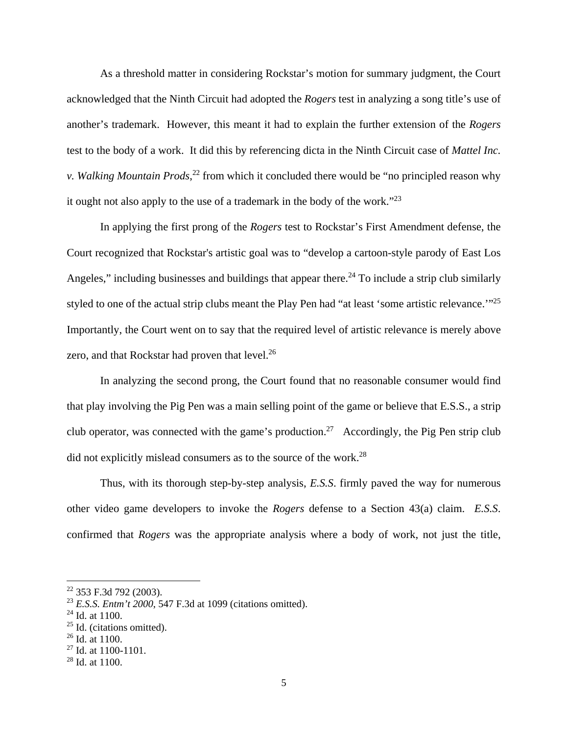As a threshold matter in considering Rockstar's motion for summary judgment, the Court acknowledged that the Ninth Circuit had adopted the *Rogers* test in analyzing a song title's use of another's trademark. However, this meant it had to explain the further extension of the *Rogers* test to the body of a work. It did this by referencing dicta in the Ninth Circuit case of *Mattel Inc. v. Walking Mountain Prods*, 22 from which it concluded there would be "no principled reason why it ought not also apply to the use of a trademark in the body of the work."23

In applying the first prong of the *Rogers* test to Rockstar's First Amendment defense, the Court recognized that Rockstar's artistic goal was to "develop a cartoon-style parody of East Los Angeles," including businesses and buildings that appear there.<sup>24</sup> To include a strip club similarly styled to one of the actual strip clubs meant the Play Pen had "at least 'some artistic relevance.'"25 Importantly, the Court went on to say that the required level of artistic relevance is merely above zero, and that Rockstar had proven that level.<sup>26</sup>

In analyzing the second prong, the Court found that no reasonable consumer would find that play involving the Pig Pen was a main selling point of the game or believe that E.S.S., a strip club operator, was connected with the game's production.<sup>27</sup> Accordingly, the Pig Pen strip club did not explicitly mislead consumers as to the source of the work.<sup>28</sup>

Thus, with its thorough step-by-step analysis, *E.S.S*. firmly paved the way for numerous other video game developers to invoke the *Rogers* defense to a Section 43(a) claim. *E.S.S*. confirmed that *Rogers* was the appropriate analysis where a body of work, not just the title,

<sup>22 353</sup> F.3d 792 (2003).

<sup>23</sup> *E.S.S. Entm't 2000*, 547 F.3d at 1099 (citations omitted).

 $24$  Id. at 1100.

 $25$  Id. (citations omitted).

 $26$  Id. at 1100.

<sup>27</sup> Id. at 1100-1101.

 $28$  Id. at 1100.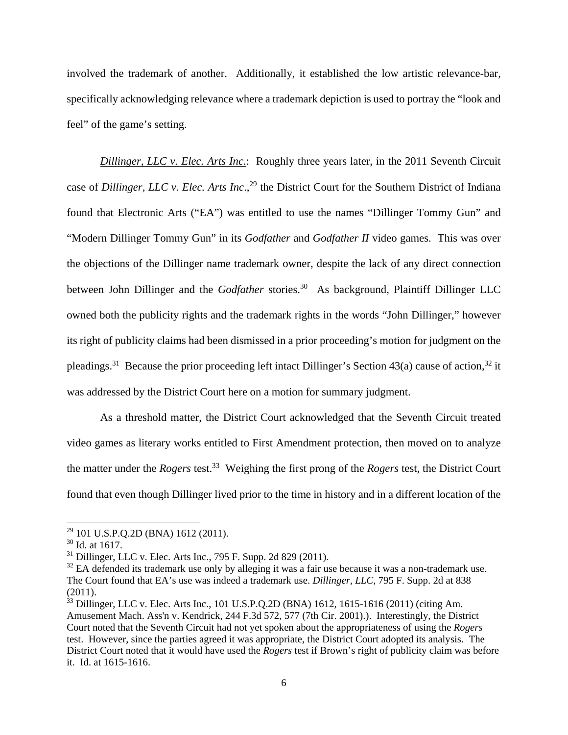involved the trademark of another. Additionally, it established the low artistic relevance-bar, specifically acknowledging relevance where a trademark depiction is used to portray the "look and feel" of the game's setting.

*Dillinger, LLC v. Elec. Arts Inc*.: Roughly three years later, in the 2011 Seventh Circuit case of *Dillinger, LLC v. Elec. Arts Inc.*,<sup>29</sup> the District Court for the Southern District of Indiana found that Electronic Arts ("EA") was entitled to use the names "Dillinger Tommy Gun" and "Modern Dillinger Tommy Gun" in its *Godfather* and *Godfather II* video games. This was over the objections of the Dillinger name trademark owner, despite the lack of any direct connection between John Dillinger and the *Godfather* stories.<sup>30</sup> As background, Plaintiff Dillinger LLC owned both the publicity rights and the trademark rights in the words "John Dillinger," however its right of publicity claims had been dismissed in a prior proceeding's motion for judgment on the pleadings.<sup>31</sup> Because the prior proceeding left intact Dillinger's Section 43(a) cause of action,<sup>32</sup> it was addressed by the District Court here on a motion for summary judgment.

As a threshold matter, the District Court acknowledged that the Seventh Circuit treated video games as literary works entitled to First Amendment protection, then moved on to analyze the matter under the *Rogers* test.33 Weighing the first prong of the *Rogers* test, the District Court found that even though Dillinger lived prior to the time in history and in a different location of the

 $29$  101 U.S.P.Q.2D (BNA) 1612 (2011).

<sup>30</sup> Id. at 1617.

 $31$  Dillinger, LLC v. Elec. Arts Inc., 795 F. Supp. 2d 829 (2011).

 $32$  EA defended its trademark use only by alleging it was a fair use because it was a non-trademark use. The Court found that EA's use was indeed a trademark use. *Dillinger, LLC*, 795 F. Supp. 2d at 838  $(2011).$ 

 $33$  Dillinger, LLC v. Elec. Arts Inc., 101 U.S.P.Q.2D (BNA) 1612, 1615-1616 (2011) (citing Am. Amusement Mach. Ass'n v. Kendrick, 244 F.3d 572, 577 (7th Cir. 2001).). Interestingly, the District Court noted that the Seventh Circuit had not yet spoken about the appropriateness of using the *Rogers* test. However, since the parties agreed it was appropriate, the District Court adopted its analysis. The District Court noted that it would have used the *Rogers* test if Brown's right of publicity claim was before it. Id. at 1615-1616.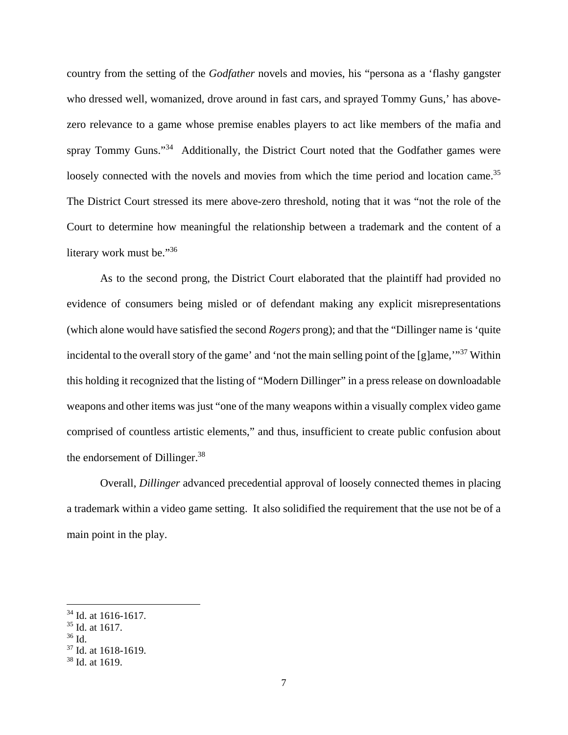country from the setting of the *Godfather* novels and movies, his "persona as a 'flashy gangster who dressed well, womanized, drove around in fast cars, and sprayed Tommy Guns,' has abovezero relevance to a game whose premise enables players to act like members of the mafia and spray Tommy Guns."<sup>34</sup> Additionally, the District Court noted that the Godfather games were loosely connected with the novels and movies from which the time period and location came.<sup>35</sup> The District Court stressed its mere above-zero threshold, noting that it was "not the role of the Court to determine how meaningful the relationship between a trademark and the content of a literary work must be."<sup>36</sup>

As to the second prong, the District Court elaborated that the plaintiff had provided no evidence of consumers being misled or of defendant making any explicit misrepresentations (which alone would have satisfied the second *Rogers* prong); and that the "Dillinger name is 'quite incidental to the overall story of the game' and 'not the main selling point of the [g]ame,"<sup>37</sup> Within this holding it recognized that the listing of "Modern Dillinger" in a press release on downloadable weapons and other items was just "one of the many weapons within a visually complex video game comprised of countless artistic elements," and thus, insufficient to create public confusion about the endorsement of Dillinger.<sup>38</sup>

Overall, *Dillinger* advanced precedential approval of loosely connected themes in placing a trademark within a video game setting. It also solidified the requirement that the use not be of a main point in the play.

<sup>&</sup>lt;sup>34</sup> Id. at 1616-1617.

<sup>35</sup> Id. at 1617.

 $36$  Id.

<sup>37</sup> Id. at 1618-1619.

<sup>38</sup> Id. at 1619.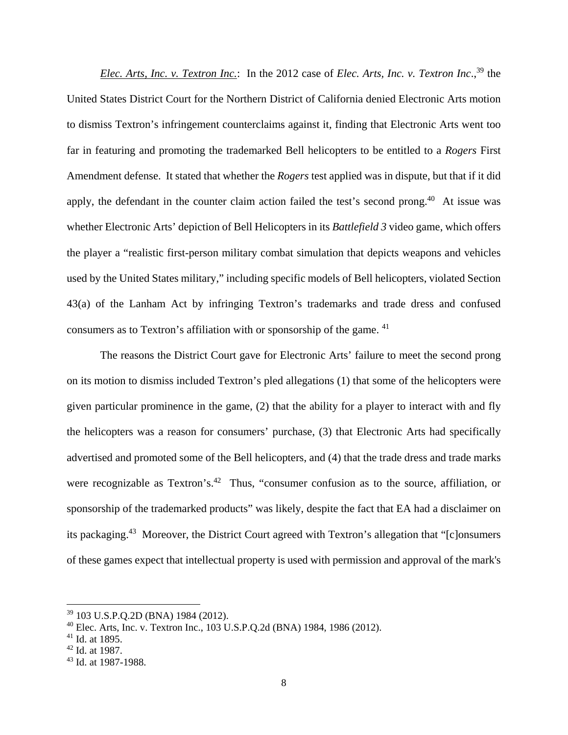*Elec. Arts, Inc. v. Textron Inc.*: In the 2012 case of *Elec. Arts, Inc. v. Textron Inc.*,<sup>39</sup> the United States District Court for the Northern District of California denied Electronic Arts motion to dismiss Textron's infringement counterclaims against it, finding that Electronic Arts went too far in featuring and promoting the trademarked Bell helicopters to be entitled to a *Rogers* First Amendment defense. It stated that whether the *Rogers* test applied was in dispute, but that if it did apply, the defendant in the counter claim action failed the test's second prong.<sup>40</sup> At issue was whether Electronic Arts' depiction of Bell Helicopters in its *Battlefield 3* video game, which offers the player a "realistic first-person military combat simulation that depicts weapons and vehicles used by the United States military," including specific models of Bell helicopters, violated Section 43(a) of the Lanham Act by infringing Textron's trademarks and trade dress and confused consumers as to Textron's affiliation with or sponsorship of the game. <sup>41</sup>

The reasons the District Court gave for Electronic Arts' failure to meet the second prong on its motion to dismiss included Textron's pled allegations (1) that some of the helicopters were given particular prominence in the game, (2) that the ability for a player to interact with and fly the helicopters was a reason for consumers' purchase, (3) that Electronic Arts had specifically advertised and promoted some of the Bell helicopters, and (4) that the trade dress and trade marks were recognizable as Textron's.<sup>42</sup> Thus, "consumer confusion as to the source, affiliation, or sponsorship of the trademarked products" was likely, despite the fact that EA had a disclaimer on its packaging.43 Moreover, the District Court agreed with Textron's allegation that "[c]onsumers of these games expect that intellectual property is used with permission and approval of the mark's

<sup>39 103</sup> U.S.P.Q.2D (BNA) 1984 (2012).

<sup>40</sup> Elec. Arts, Inc. v. Textron Inc., 103 U.S.P.Q.2d (BNA) 1984, 1986 (2012).

 $41$  Id. at 1895.

 $42$  Id. at 1987.

<sup>43</sup> Id. at 1987-1988.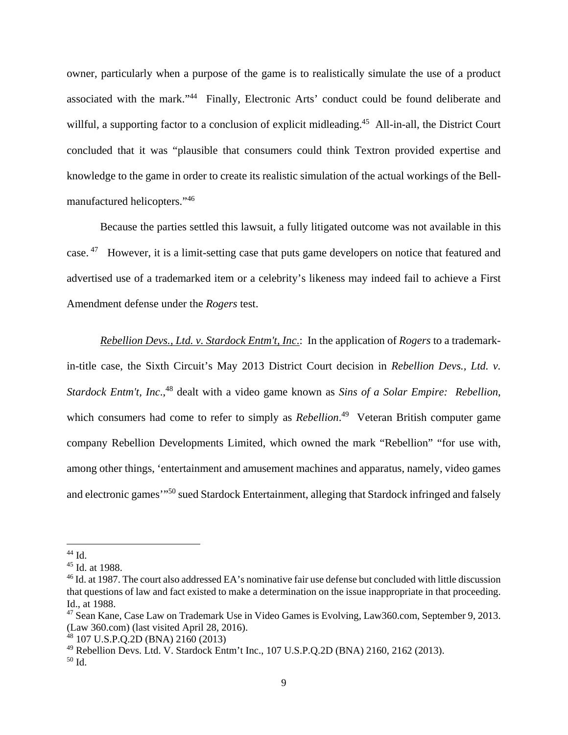owner, particularly when a purpose of the game is to realistically simulate the use of a product associated with the mark."44 Finally, Electronic Arts' conduct could be found deliberate and willful, a supporting factor to a conclusion of explicit midleading.<sup>45</sup> All-in-all, the District Court concluded that it was "plausible that consumers could think Textron provided expertise and knowledge to the game in order to create its realistic simulation of the actual workings of the Bellmanufactured helicopters."46

Because the parties settled this lawsuit, a fully litigated outcome was not available in this case. 47 However, it is a limit-setting case that puts game developers on notice that featured and advertised use of a trademarked item or a celebrity's likeness may indeed fail to achieve a First Amendment defense under the *Rogers* test.

*Rebellion Devs., Ltd. v. Stardock Entm't, Inc*.: In the application of *Rogers* to a trademarkin-title case, the Sixth Circuit's May 2013 District Court decision in *Rebellion Devs., Ltd. v. Stardock Entm't, Inc*.,48 dealt with a video game known as *Sins of a Solar Empire: Rebellion*, which consumers had come to refer to simply as *Rebellion*.<sup>49</sup> Veteran British computer game company Rebellion Developments Limited, which owned the mark "Rebellion" "for use with, among other things, 'entertainment and amusement machines and apparatus, namely, video games and electronic games'"50 sued Stardock Entertainment, alleging that Stardock infringed and falsely

 $44$  Id.

<sup>45</sup> Id. at 1988.

<sup>&</sup>lt;sup>46</sup> Id. at 1987. The court also addressed EA's nominative fair use defense but concluded with little discussion that questions of law and fact existed to make a determination on the issue inappropriate in that proceeding. Id., at 1988.

<sup>&</sup>lt;sup>47</sup> Sean Kane, Case Law on Trademark Use in Video Games is Evolving, Law360.com, September 9, 2013. (Law 360.com) (last visited April 28, 2016).

<sup>48 107</sup> U.S.P.Q.2D (BNA) 2160 (2013)

<sup>49</sup> Rebellion Devs. Ltd. V. Stardock Entm't Inc., 107 U.S.P.Q.2D (BNA) 2160, 2162 (2013).

<sup>50</sup> Id.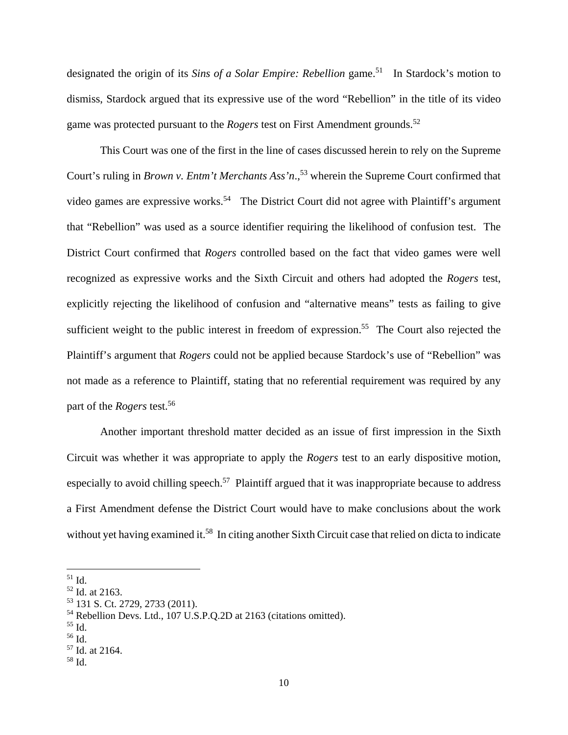designated the origin of its *Sins of a Solar Empire: Rebellion* game.<sup>51</sup> In Stardock's motion to dismiss, Stardock argued that its expressive use of the word "Rebellion" in the title of its video game was protected pursuant to the *Rogers* test on First Amendment grounds.<sup>52</sup>

This Court was one of the first in the line of cases discussed herein to rely on the Supreme Court's ruling in *Brown v. Entm't Merchants Ass'n*.<sup>53</sup> wherein the Supreme Court confirmed that video games are expressive works.<sup>54</sup> The District Court did not agree with Plaintiff's argument that "Rebellion" was used as a source identifier requiring the likelihood of confusion test. The District Court confirmed that *Rogers* controlled based on the fact that video games were well recognized as expressive works and the Sixth Circuit and others had adopted the *Rogers* test, explicitly rejecting the likelihood of confusion and "alternative means" tests as failing to give sufficient weight to the public interest in freedom of expression.<sup>55</sup> The Court also rejected the Plaintiff's argument that *Rogers* could not be applied because Stardock's use of "Rebellion" was not made as a reference to Plaintiff, stating that no referential requirement was required by any part of the *Rogers* test.56

Another important threshold matter decided as an issue of first impression in the Sixth Circuit was whether it was appropriate to apply the *Rogers* test to an early dispositive motion, especially to avoid chilling speech.<sup>57</sup> Plaintiff argued that it was inappropriate because to address a First Amendment defense the District Court would have to make conclusions about the work without yet having examined it.<sup>58</sup> In citing another Sixth Circuit case that relied on dicta to indicate

 $\overline{a}$ 

56 Id.

 $51$  Id.

<sup>52</sup> Id. at 2163.

<sup>53 131</sup> S. Ct. 2729, 2733 (2011).

<sup>54</sup> Rebellion Devs. Ltd., 107 U.S.P.Q.2D at 2163 (citations omitted).

<sup>55</sup> Id.

<sup>57</sup> Id. at 2164.

<sup>58</sup> Id.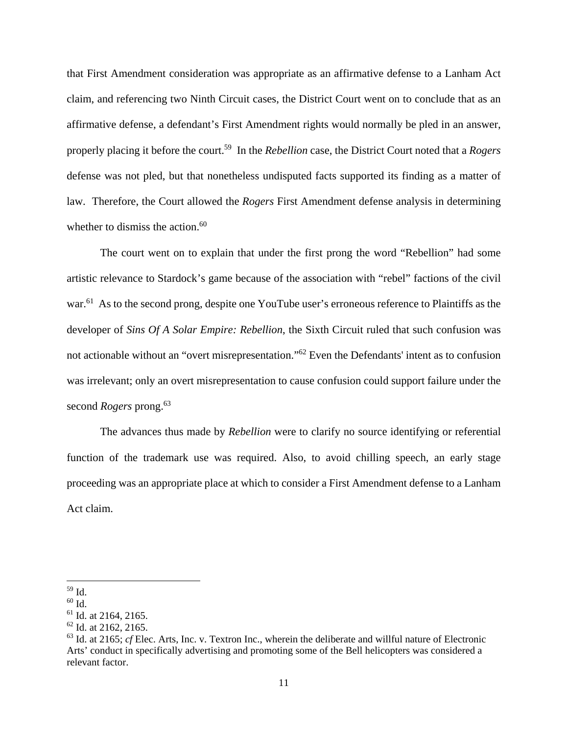that First Amendment consideration was appropriate as an affirmative defense to a Lanham Act claim, and referencing two Ninth Circuit cases, the District Court went on to conclude that as an affirmative defense, a defendant's First Amendment rights would normally be pled in an answer, properly placing it before the court.59 In the *Rebellion* case, the District Court noted that a *Rogers* defense was not pled, but that nonetheless undisputed facts supported its finding as a matter of law. Therefore, the Court allowed the *Rogers* First Amendment defense analysis in determining whether to dismiss the action. $60$ 

The court went on to explain that under the first prong the word "Rebellion" had some artistic relevance to Stardock's game because of the association with "rebel" factions of the civil war.<sup>61</sup> As to the second prong, despite one YouTube user's erroneous reference to Plaintiffs as the developer of *Sins Of A Solar Empire: Rebellion*, the Sixth Circuit ruled that such confusion was not actionable without an "overt misrepresentation."62 Even the Defendants' intent as to confusion was irrelevant; only an overt misrepresentation to cause confusion could support failure under the second *Rogers* prong.<sup>63</sup>

The advances thus made by *Rebellion* were to clarify no source identifying or referential function of the trademark use was required. Also, to avoid chilling speech, an early stage proceeding was an appropriate place at which to consider a First Amendment defense to a Lanham Act claim.

 $\overline{a}$ 59 Id.

<sup>60</sup> Id.

 $61$  Id. at 2164, 2165.

 $62$  Id. at 2162, 2165.

<sup>63</sup> Id. at 2165; *cf* Elec. Arts, Inc. v. Textron Inc., wherein the deliberate and willful nature of Electronic Arts' conduct in specifically advertising and promoting some of the Bell helicopters was considered a relevant factor.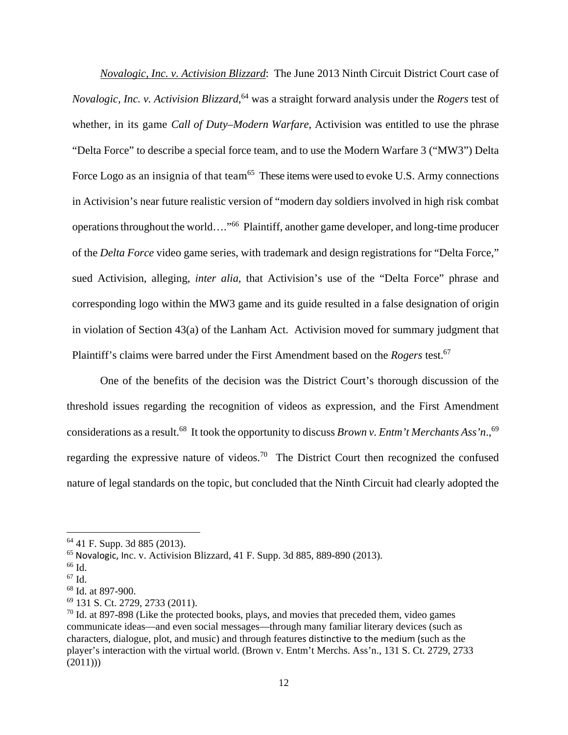*Novalogic, Inc. v. Activision Blizzard*: The June 2013 Ninth Circuit District Court case of *Novalogic, Inc. v. Activision Blizzard*, 64 was a straight forward analysis under the *Rogers* test of whether, in its game *Call of Duty–Modern Warfare*, Activision was entitled to use the phrase "Delta Force" to describe a special force team, and to use the Modern Warfare 3 ("MW3") Delta Force Logo as an insignia of that team<sup>65</sup> These items were used to evoke U.S. Army connections in Activision's near future realistic version of "modern day soldiers involved in high risk combat operations throughout the world…."66 Plaintiff, another game developer, and long-time producer of the *Delta Force* video game series, with trademark and design registrations for "Delta Force," sued Activision, alleging, *inter alia*, that Activision's use of the "Delta Force" phrase and corresponding logo within the MW3 game and its guide resulted in a false designation of origin in violation of Section 43(a) of the Lanham Act. Activision moved for summary judgment that Plaintiff's claims were barred under the First Amendment based on the *Rogers* test.67

One of the benefits of the decision was the District Court's thorough discussion of the threshold issues regarding the recognition of videos as expression, and the First Amendment considerations as a result.<sup>68</sup> It took the opportunity to discuss *Brown v. Entm't Merchants Ass'n*.,<sup>69</sup> regarding the expressive nature of videos.<sup>70</sup> The District Court then recognized the confused nature of legal standards on the topic, but concluded that the Ninth Circuit had clearly adopted the

1

<sup>64 41</sup> F. Supp. 3d 885 (2013).

 $^{65}$  Novalogic, Inc. v. Activision Blizzard, 41 F. Supp. 3d 885, 889-890 (2013).

 $66$  Id.

 $67$  Id.

<sup>68</sup> Id. at 897-900.

<sup>69 131</sup> S. Ct. 2729, 2733 (2011).

 $70$  Id. at 897-898 (Like the protected books, plays, and movies that preceded them, video games communicate ideas—and even social messages—through many familiar literary devices (such as characters, dialogue, plot, and music) and through features distinctive to the medium (such as the player's interaction with the virtual world. (Brown v. Entm't Merchs. Ass'n., 131 S. Ct. 2729, 2733  $(2011))$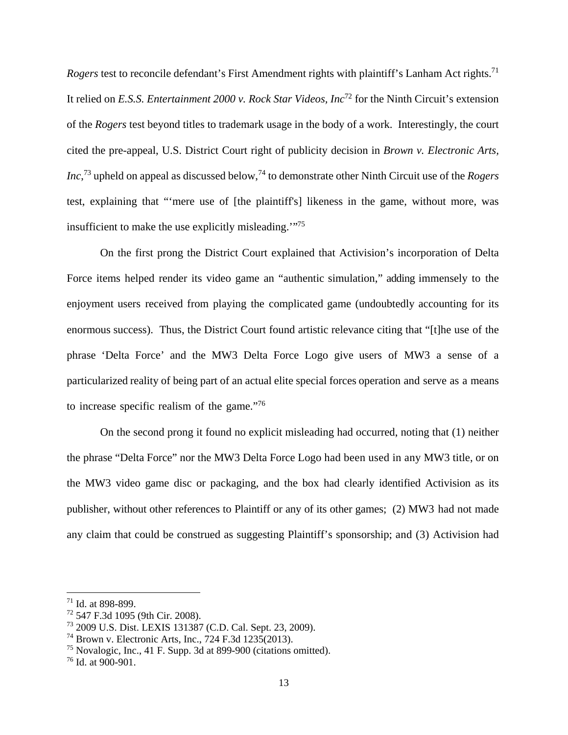*Rogers* test to reconcile defendant's First Amendment rights with plaintiff's Lanham Act rights.<sup>71</sup> It relied on *E.S.S. Entertainment 2000 v. Rock Star Videos, Inc*72 for the Ninth Circuit's extension of the *Rogers* test beyond titles to trademark usage in the body of a work. Interestingly, the court cited the pre-appeal, U.S. District Court right of publicity decision in *Brown v. Electronic Arts, Inc*,<sup>73</sup> upheld on appeal as discussed below,<sup>74</sup> to demonstrate other Ninth Circuit use of the *Rogers* test, explaining that "'mere use of [the plaintiff's] likeness in the game, without more, was insufficient to make the use explicitly misleading.'"75

On the first prong the District Court explained that Activision's incorporation of Delta Force items helped render its video game an "authentic simulation," adding immensely to the enjoyment users received from playing the complicated game (undoubtedly accounting for its enormous success). Thus, the District Court found artistic relevance citing that "[t]he use of the phrase 'Delta Force' and the MW3 Delta Force Logo give users of MW3 a sense of a particularized reality of being part of an actual elite special forces operation and serve as a means to increase specific realism of the game."76

On the second prong it found no explicit misleading had occurred, noting that (1) neither the phrase "Delta Force" nor the MW3 Delta Force Logo had been used in any MW3 title, or on the MW3 video game disc or packaging, and the box had clearly identified Activision as its publisher, without other references to Plaintiff or any of its other games; (2) MW3 had not made any claim that could be construed as suggesting Plaintiff's sponsorship; and (3) Activision had

<sup>71</sup> Id. at 898-899.

<sup>72 547</sup> F.3d 1095 (9th Cir. 2008).

<sup>73 2009</sup> U.S. Dist. LEXIS 131387 (C.D. Cal. Sept. 23, 2009).

<sup>74</sup> Brown v. Electronic Arts, Inc., 724 F.3d 1235(2013).

<sup>75</sup> Novalogic, Inc., 41 F. Supp. 3d at 899-900 (citations omitted).

 $176$  Id. at 900-901.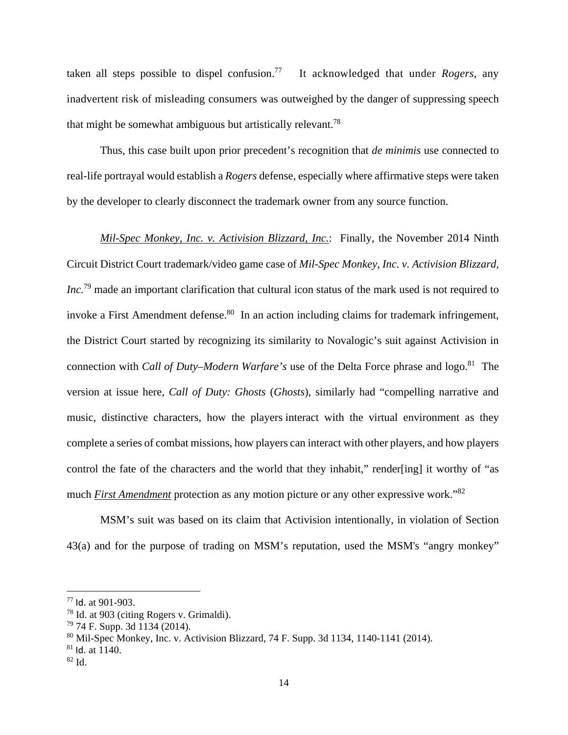taken all steps possible to dispel confusion.77 It acknowledged that under *Rogers,* any inadvertent risk of misleading consumers was outweighed by the danger of suppressing speech that might be somewhat ambiguous but artistically relevant.<sup>78</sup>

Thus, this case built upon prior precedent's recognition that *de minimis* use connected to real-life portrayal would establish a *Rogers* defense, especially where affirmative steps were taken by the developer to clearly disconnect the trademark owner from any source function.

*Mil-Spec Monkey, Inc. v. Activision Blizzard, Inc.*: Finally, the November 2014 Ninth Circuit District Court trademark/video game case of *Mil-Spec Monkey, Inc. v. Activision Blizzard, Inc.*79 made an important clarification that cultural icon status of the mark used is not required to invoke a First Amendment defense.<sup>80</sup> In an action including claims for trademark infringement, the District Court started by recognizing its similarity to Novalogic's suit against Activision in connection with *Call of Duty–Modern Warfare's* use of the Delta Force phrase and logo.<sup>81</sup> The version at issue here, *Call of Duty: Ghosts* (*Ghosts*), similarly had "compelling narrative and music, distinctive characters, how the players interact with the virtual environment as they complete a series of combat missions, how players can interact with other players, and how players control the fate of the characters and the world that they inhabit," render[ing] it worthy of "as much *First Amendment* protection as any motion picture or any other expressive work."82

MSM's suit was based on its claim that Activision intentionally, in violation of Section 43(a) and for the purpose of trading on MSM's reputation, used the MSM's "angry monkey"

<sup>77</sup> Id. at 901-903.

<sup>78</sup> Id. at 903 (citing Rogers v. Grimaldi).

 $79$  74 F. Supp. 3d 1134 (2014).

<sup>80</sup> Mil-Spec Monkey, Inc. v. Activision Blizzard, 74 F. Supp. 3d 1134, 1140-1141 (2014).

 $81$  Id. at  $1140$ .

 $82$  Id.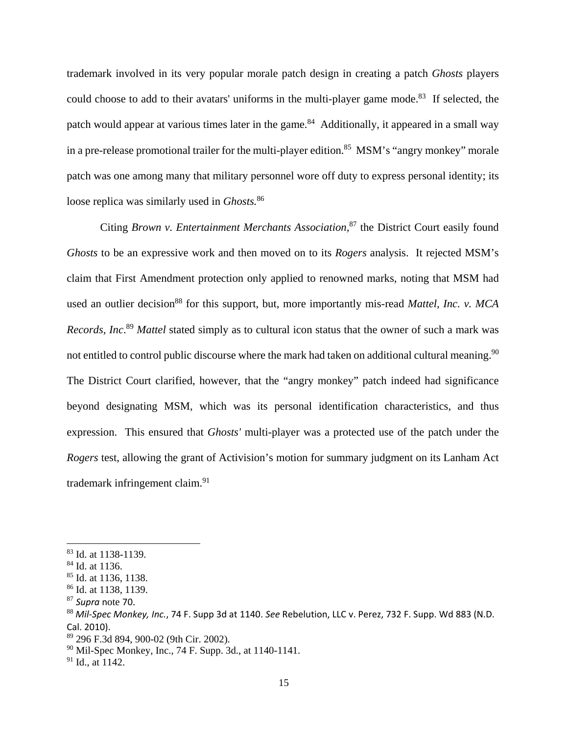trademark involved in its very popular morale patch design in creating a patch *Ghosts* players could choose to add to their avatars' uniforms in the multi-player game mode.<sup>83</sup> If selected, the patch would appear at various times later in the game.<sup>84</sup> Additionally, it appeared in a small way in a pre-release promotional trailer for the multi-player edition.<sup>85</sup> MSM's "angry monkey" morale patch was one among many that military personnel wore off duty to express personal identity; its loose replica was similarly used in *Ghosts.*<sup>86</sup>

Citing *Brown v. Entertainment Merchants Association,*87 the District Court easily found *Ghosts* to be an expressive work and then moved on to its *Rogers* analysis. It rejected MSM's claim that First Amendment protection only applied to renowned marks, noting that MSM had used an outlier decision<sup>88</sup> for this support, but, more importantly mis-read *Mattel, Inc. v. MCA Records, Inc*. <sup>89</sup> *Mattel* stated simply as to cultural icon status that the owner of such a mark was not entitled to control public discourse where the mark had taken on additional cultural meaning.<sup>90</sup> The District Court clarified, however, that the "angry monkey" patch indeed had significance beyond designating MSM, which was its personal identification characteristics, and thus expression. This ensured that *Ghosts'* multi-player was a protected use of the patch under the *Rogers* test, allowing the grant of Activision's motion for summary judgment on its Lanham Act trademark infringement claim.91

1

<sup>83</sup> Id. at 1138-1139.

<sup>84</sup> Id. at 1136.

<sup>85</sup> Id. at 1136, 1138.

<sup>86</sup> Id. at 1138, 1139.

<sup>87</sup> *Supra* note 70.<br><sup>88</sup> Mil-Spec Monkey, Inc., 74 F. Supp 3d at 1140. *See* Rebelution, LLC v. Perez, 732 F. Supp. Wd 883 (N.D. Cal. 2010).

<sup>89 296</sup> F.3d 894, 900-02 (9th Cir. 2002).

<sup>90</sup> Mil-Spec Monkey, Inc., 74 F. Supp. 3d., at 1140-1141.

 $91$  Id., at 1142.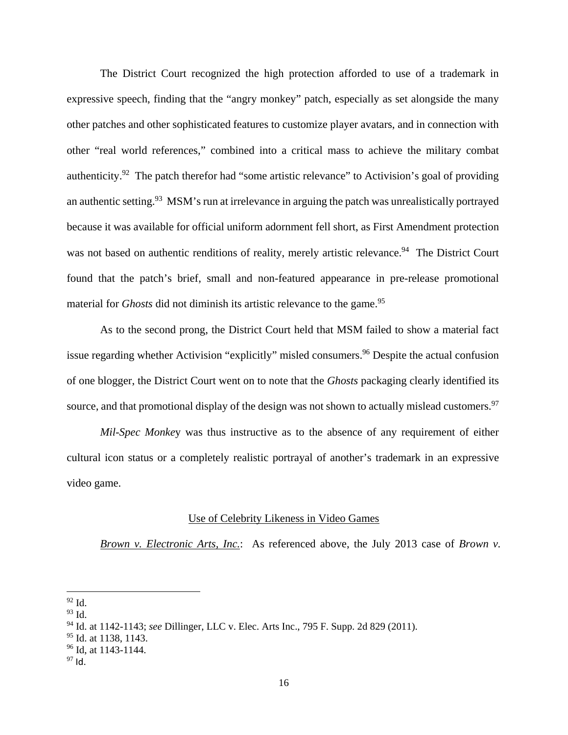The District Court recognized the high protection afforded to use of a trademark in expressive speech, finding that the "angry monkey" patch, especially as set alongside the many other patches and other sophisticated features to customize player avatars, and in connection with other "real world references," combined into a critical mass to achieve the military combat authenticity.<sup>92</sup> The patch therefor had "some artistic relevance" to Activision's goal of providing an authentic setting.<sup>93</sup> MSM's run at irrelevance in arguing the patch was unrealistically portrayed because it was available for official uniform adornment fell short, as First Amendment protection was not based on authentic renditions of reality, merely artistic relevance.<sup>94</sup> The District Court found that the patch's brief, small and non-featured appearance in pre-release promotional material for *Ghosts* did not diminish its artistic relevance to the game.<sup>95</sup>

As to the second prong, the District Court held that MSM failed to show a material fact issue regarding whether Activision "explicitly" misled consumers.<sup>96</sup> Despite the actual confusion of one blogger, the District Court went on to note that the *Ghosts* packaging clearly identified its source, and that promotional display of the design was not shown to actually mislead customers.<sup>97</sup>

*Mil-Spec Monke*y was thus instructive as to the absence of any requirement of either cultural icon status or a completely realistic portrayal of another's trademark in an expressive video game.

## Use of Celebrity Likeness in Video Games

*Brown v. Electronic Arts, Inc.*: As referenced above, the July 2013 case of *Brown v.* 

 $92$  Id.

 $93$  Id.

<sup>94</sup> Id. at 1142-1143; *see* Dillinger, LLC v. Elec. Arts Inc., 795 F. Supp. 2d 829 (2011).

<sup>&</sup>lt;sup>95</sup> Id. at 1138, 1143.

 $96$  Id, at 1143-1144.

 $97$  Id.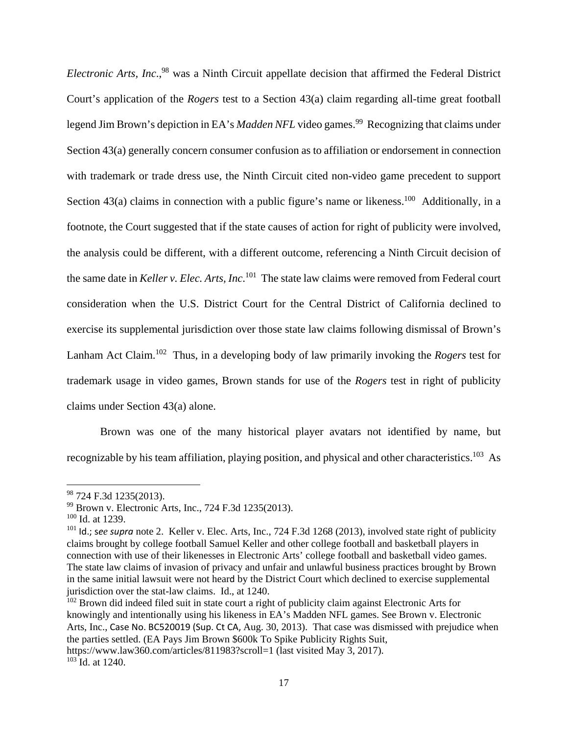*Electronic Arts, Inc.*,<sup>98</sup> was a Ninth Circuit appellate decision that affirmed the Federal District Court's application of the *Rogers* test to a Section 43(a) claim regarding all-time great football legend Jim Brown's depiction in EA's *Madden NFL* video games.<sup>99</sup> Recognizing that claims under Section 43(a) generally concern consumer confusion as to affiliation or endorsement in connection with trademark or trade dress use, the Ninth Circuit cited non-video game precedent to support Section 43(a) claims in connection with a public figure's name or likeness.<sup>100</sup> Additionally, in a footnote, the Court suggested that if the state causes of action for right of publicity were involved, the analysis could be different, with a different outcome, referencing a Ninth Circuit decision of the same date in *Keller v. Elec. Arts, Inc*. 101 The state law claims were removed from Federal court consideration when the U.S. District Court for the Central District of California declined to exercise its supplemental jurisdiction over those state law claims following dismissal of Brown's Lanham Act Claim.102 Thus, in a developing body of law primarily invoking the *Rogers* test for trademark usage in video games, Brown stands for use of the *Rogers* test in right of publicity claims under Section 43(a) alone.

Brown was one of the many historical player avatars not identified by name, but recognizable by his team affiliation, playing position, and physical and other characteristics.<sup>103</sup> As

 $\overline{a}$ 

 $102$  Brown did indeed filed suit in state court a right of publicity claim against Electronic Arts for knowingly and intentionally using his likeness in EA's Madden NFL games. See Brown v. Electronic Arts, Inc., Case No. BC520019 (Sup. Ct CA, Aug. 30, 2013). That case was dismissed with prejudice when the parties settled. (EA Pays Jim Brown \$600k To Spike Publicity Rights Suit,

https://www.law360.com/articles/811983?scroll=1 (last visited May 3, 2017).  $103$  Id. at 1240.

<sup>98 724</sup> F.3d 1235(2013).

<sup>99</sup> Brown v. Electronic Arts, Inc., 724 F.3d 1235(2013).

 $100$  Id. at 1239.

<sup>101</sup> Id.; s*ee supra* note 2. Keller v. Elec. Arts, Inc., 724 F.3d 1268 (2013), involved state right of publicity claims brought by college football Samuel Keller and other college football and basketball players in connection with use of their likenesses in Electronic Arts' college football and basketball video games. The state law claims of invasion of privacy and unfair and unlawful business practices brought by Brown in the same initial lawsuit were not heard by the District Court which declined to exercise supplemental jurisdiction over the stat-law claims. Id., at 1240.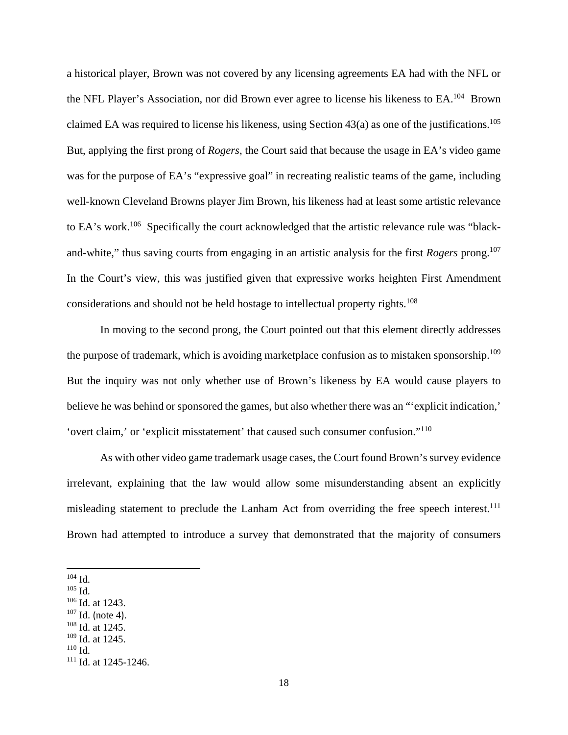a historical player, Brown was not covered by any licensing agreements EA had with the NFL or the NFL Player's Association, nor did Brown ever agree to license his likeness to EA.104 Brown claimed EA was required to license his likeness, using Section  $43(a)$  as one of the justifications.<sup>105</sup> But, applying the first prong of *Rogers*, the Court said that because the usage in EA's video game was for the purpose of EA's "expressive goal" in recreating realistic teams of the game, including well-known Cleveland Browns player Jim Brown, his likeness had at least some artistic relevance to EA's work.106 Specifically the court acknowledged that the artistic relevance rule was "blackand-white," thus saving courts from engaging in an artistic analysis for the first *Rogers* prong.<sup>107</sup> In the Court's view, this was justified given that expressive works heighten First Amendment considerations and should not be held hostage to intellectual property rights.<sup>108</sup>

In moving to the second prong, the Court pointed out that this element directly addresses the purpose of trademark, which is avoiding marketplace confusion as to mistaken sponsorship.<sup>109</sup> But the inquiry was not only whether use of Brown's likeness by EA would cause players to believe he was behind or sponsored the games, but also whether there was an "'explicit indication,' 'overt claim,' or 'explicit misstatement' that caused such consumer confusion."110

As with other video game trademark usage cases, the Court found Brown's survey evidence irrelevant, explaining that the law would allow some misunderstanding absent an explicitly misleading statement to preclude the Lanham Act from overriding the free speech interest.<sup>111</sup> Brown had attempted to introduce a survey that demonstrated that the majority of consumers

<u>.</u>

 $104$  Id.

 $105$  Id.

<sup>106</sup> Id. at 1243.

 $\frac{107}{108}$  Id. (note 4).<br><sup>108</sup> Id. at 1245.

 $109$  Id. at 1245.

<sup>110</sup> Id.

 $111$  Id. at 1245-1246.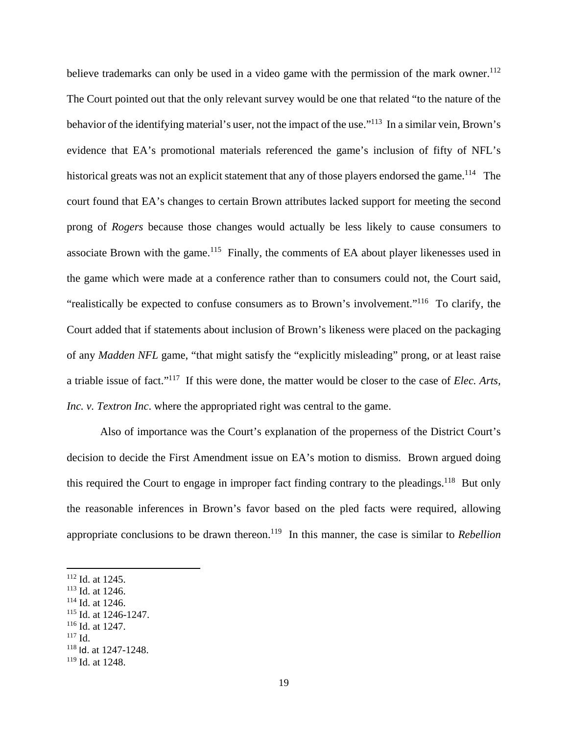believe trademarks can only be used in a video game with the permission of the mark owner.<sup>112</sup> The Court pointed out that the only relevant survey would be one that related "to the nature of the behavior of the identifying material's user, not the impact of the use."<sup>113</sup> In a similar vein, Brown's evidence that EA's promotional materials referenced the game's inclusion of fifty of NFL's historical greats was not an explicit statement that any of those players endorsed the game.<sup>114</sup> The court found that EA's changes to certain Brown attributes lacked support for meeting the second prong of *Rogers* because those changes would actually be less likely to cause consumers to associate Brown with the game.<sup>115</sup> Finally, the comments of EA about player likenesses used in the game which were made at a conference rather than to consumers could not, the Court said, "realistically be expected to confuse consumers as to Brown's involvement."116 To clarify, the Court added that if statements about inclusion of Brown's likeness were placed on the packaging of any *Madden NFL* game, "that might satisfy the "explicitly misleading" prong, or at least raise a triable issue of fact."117 If this were done, the matter would be closer to the case of *Elec. Arts, Inc. v. Textron Inc.* where the appropriated right was central to the game.

Also of importance was the Court's explanation of the properness of the District Court's decision to decide the First Amendment issue on EA's motion to dismiss. Brown argued doing this required the Court to engage in improper fact finding contrary to the pleadings.<sup>118</sup> But only the reasonable inferences in Brown's favor based on the pled facts were required, allowing appropriate conclusions to be drawn thereon.<sup>119</sup> In this manner, the case is similar to *Rebellion* 

 $117$  Id.

<sup>112</sup> Id. at 1245.

<sup>113</sup> Id. at 1246.

 $114$  Id. at 1246.

<sup>115</sup> Id. at 1246-1247.

<sup>116</sup> Id. at 1247.

<sup>118</sup> Id. at 1247-1248.

 $119$  Id. at 1248.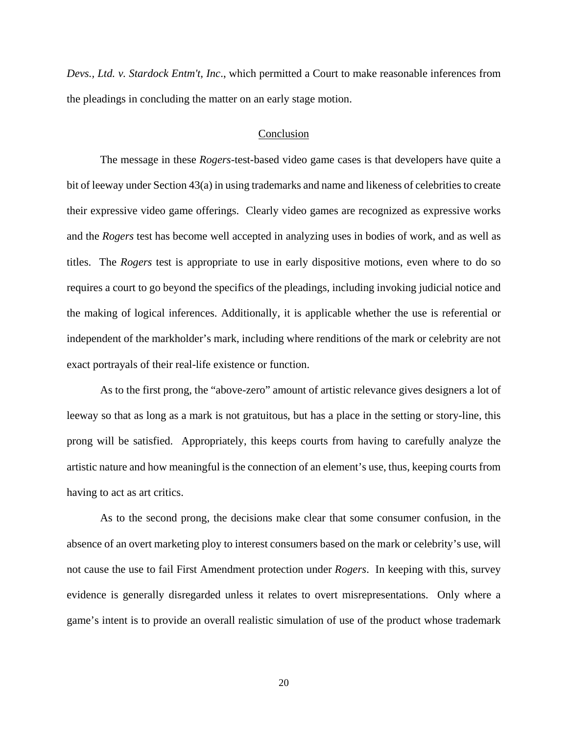*Devs., Ltd. v. Stardock Entm't, Inc*., which permitted a Court to make reasonable inferences from the pleadings in concluding the matter on an early stage motion.

#### Conclusion

The message in these *Rogers*-test-based video game cases is that developers have quite a bit of leeway under Section 43(a) in using trademarks and name and likeness of celebrities to create their expressive video game offerings. Clearly video games are recognized as expressive works and the *Rogers* test has become well accepted in analyzing uses in bodies of work, and as well as titles. The *Rogers* test is appropriate to use in early dispositive motions, even where to do so requires a court to go beyond the specifics of the pleadings, including invoking judicial notice and the making of logical inferences. Additionally, it is applicable whether the use is referential or independent of the markholder's mark, including where renditions of the mark or celebrity are not exact portrayals of their real-life existence or function.

As to the first prong, the "above-zero" amount of artistic relevance gives designers a lot of leeway so that as long as a mark is not gratuitous, but has a place in the setting or story-line, this prong will be satisfied. Appropriately, this keeps courts from having to carefully analyze the artistic nature and how meaningful is the connection of an element's use, thus, keeping courts from having to act as art critics.

As to the second prong, the decisions make clear that some consumer confusion, in the absence of an overt marketing ploy to interest consumers based on the mark or celebrity's use, will not cause the use to fail First Amendment protection under *Rogers*. In keeping with this, survey evidence is generally disregarded unless it relates to overt misrepresentations. Only where a game's intent is to provide an overall realistic simulation of use of the product whose trademark